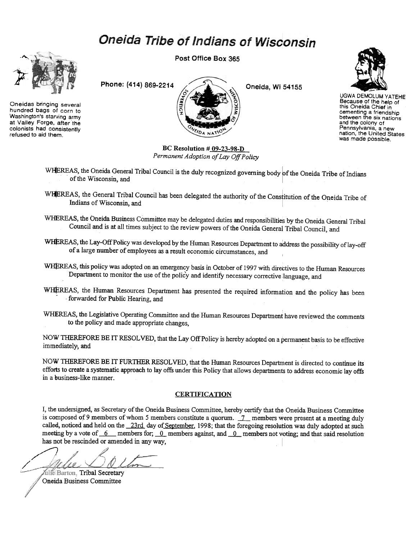# Oneida Tribe of Indians of Wisconsin



Oneidas bringing several hundred bags of corn to Washington's starving army at Valley Forge. after the colonists had consistently refused to aid them.

Post Office Box 365





UGWA DEMOLUM YATEHE Because of the help of this Oneida Chief in cementing a friendshij<br>between the six nation and the colony of Pennsylvania, a new nation, the United States was made possible.

BC Resolution # 09-23-98-D Permanent Adoption of Lay Off Policy

- WHEREAS, the Oneida General Tribal Council is the duly recognized governing body of the Oneida Tribe of Indians of the Wisconsin, and 1-
- WHEREAS, the General Tribal Council has been delegated the authority of the Constitution of the Oneida Tribe of Indians of Wisconsin, and
- WHEREAS, the Oneida Business Committee may be delegated duties and responsibilities by the Oneida General Tribal Council and is at all times subject to the review powers of the Oneida General Tribal Council, and
- WHEREAS, the Lay-Off Policy was developed by the Human Resources Department to address the possibility of lay-off of a large number of employees as a result economic circumstances, and
- WHEREAS, this policy was adopted on an emergency basis in October of 1997 with directives to the Human Resources Department to monitor the use of the policy and identify necessary corrective language, and
- WHEREAS, the Human Resources Department has presented the required information and the policy has been -.forwarded for Public Hearing, and
- WHEREAS, the Legislative Operating Committee and the Human Resources Department have reviewed the comments to the policy and made appropriate changes,

NOW THEREFORE BE IT RESOLVED, that the Lay Off Policy is hereby adopted on a pennanent basis to be effective immediately, and

NOW THEREFORE BE IT FURTHER RESOLVED, that the Human Resources Department is directed to continue its efforts to create a systematic approach to layoffs under this Policy that allows departments to address economic layoffs in a business-like manner.

#### CERTIFICATION

I, the undersigned, as Secretary of the Oneida Business Committee, hereby certify that the Oneida Business Committee is composed of 9 members of whom 5 members constitute a quorum.  $\frac{7}{1}$  members were present at a meeting duly called, noticed and held on the  $-23rd$  day of September. 1998; that the foregoing resolution was duly adopted at such meeting by a vote of  $\overline{-6}$  members for;  $\overline{-0}$  members against, and  $\overline{-0}$  members not voting; and that said resolution has not be rescinded or amended in any way,

~/' /

fulle Barton, Tribal Secretary Oneida Business Committee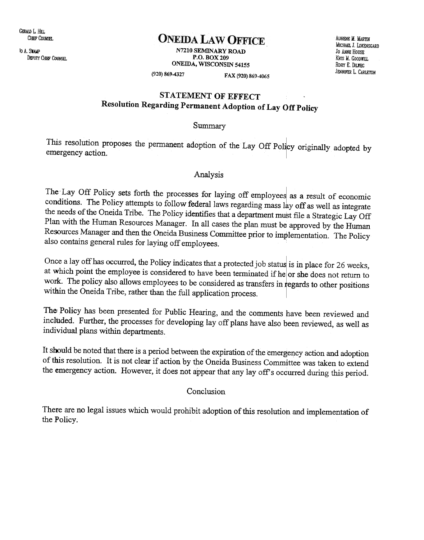GERALD L. HILL

10 A. SrAIIP DEPUTY CHEF COUNSEL

# **CHEF COUNSEL AURENE M. MARTIN CONNECTED AURENT AURENT AURENT AURENT AURENT AURENT AURENT AURENT AURENT AURENT M**

N7210 SEMINARY ROAD P.O. BOX 209 ONEIDA, WISCONSIN 54155 MICHAEL J. LOKENSGARD Jo ANNE HOUSE KRIS M. GOODWILL RORY E. DILWEG JENNIFER L. CARLETON

(920) 869-4327 FAX (920) 8694065

## STATEMENT OF EFFECT Resolution Regarding Permanent Adoption of Lay Off Policy

#### Summary

This resolution proposes the permanent adoption of the Lay Off Policy originally adopted by emergency action.

#### Analysis

The Lay Off Policy sets forth the processes for laying off employees as a result of economic conditions. The Policy attempts to follow federal laws regarding mass lay off as well as integrate the needs of the Oneida Tribe. The Policy identifies that a department must file a Strategic Lay Off Plan with the Human Resources Manager. In all cases the plan must be approved by the Human Resources Manager and then the Oneida Business Committee prior to implementation. The Policy also contains general rules for laying off employees.

Once a lay off has occurred, the Policy indicates that a protected job status is in place for 26 wee at which point the employee is considered to have been terminated if he or she does not return to work. The policy also allows employees to be considered as transfers in regards to other positions within the Oneida Tribe, rather than the full application process.

The Policy has been presented for Public Hearing, and the comments have been reviewed and included. Further, the processes for developing lay off plans have also been reviewed, as well as individual plans within departments.

It should be noted that there is a period between the expiration of the emergency action and adoption of this resolution. It is not clear if action by the Oneida Business Committee was taken to extend the emergency action. However, it does not appear that any lay off's occurred during this period.

#### Conclusion

There are no legal issues which would prohibit adoption of this resolution and implementation of the Policy.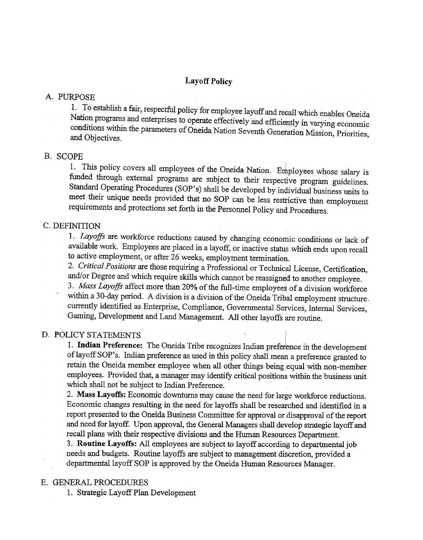#### A. PURPOSE

1. To establish a fair, respectful policy for employee layoff and recall which enables Oneida Nation programs and enterprises to operate effectively and efficiently in varying economic conditions within the parameters of Oneida Nation Seventh Generation Mission, Priorities, and Objectives.

#### B. SCOPE

1. This policy covers all employees of the Oneida Nation. Employees whose salary is funded through external programs are subject to their respective program guidelines. Standard Operating Procedures (SOP's) shall be developed by individual business units to meet their unique needs provided that no SOP can be less restrictive than employment requirements and protections set forth in the Personnel Policy and Procedures.

#### C. DEFINITION

1. Layoffs are workforce reductions caused by changing economic conditions or lack of available work. Employees are placed in a layoff, or inactive status which ends upon recall. to active employment, or after 26 weeks, employment termination.

2. Critical Positions are those requiring a Professional or Technical License, Certification, and/or Degree and which require skills which cannot be reassigned to another employee.

3. Mass Layoffs affect more than 20% of the full-time employees of a division workforce within a 30-day period. A division is a division of the Oneida Tribal employment structure. currently identified as Enterprise, Compliance, Governmental Services, Internal Services, Gaming, Development and Land Management. All other layoffs are routine.

#### D. POLICY STATEMENTS

1. Indian Preference: The Oneida Tribe recognizes Indian preference in the development of layoff SOP's. Indian preference as used in this policy shall mean a preference granted to retain the Oneida member employee when all other things being equal with non-member employees. Provided that, a manager may identify critical positions within the business unit which shall not be subject to Indian Preference.

2. Mass Layoffs: Economic downturns may cause the need for large workforce reductions. Economic changes resulting in the need for layoffs shall be researched and identified in a report presented to the Oneida Business Committee for approval or disapproval of the report and need for layoff. Upon approval, the General Managers shall develop strategic layoff and recall plans with their respective divisions and the Human Resources Department.

3. Routine Layoffs: All employees are subject to layoff according to departmental job needs and budgets. Routine layoffs are subject to management discretion, provided a departmental layoff SOP is approved by the Oneida Human Resources Manager.

#### E. GENERAL PROCEDURES

1. Strategic Layoff Plan Development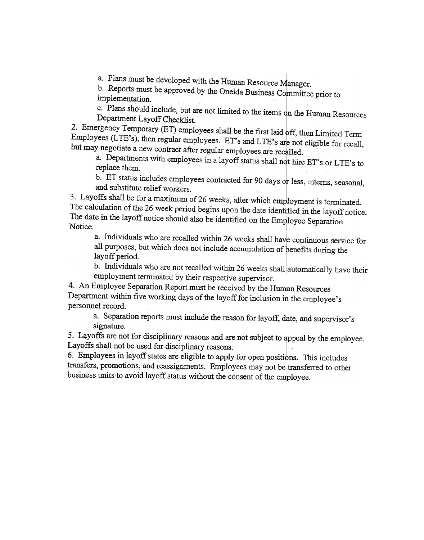a. Plans must be developed with the Human Resource Manager.

b. Reports must be approved by the Oneida Business Committee prior to implementation.

c. Plans should include, but are not limited to the items on the Human Resources Department Layoff Checklist.

2. Emergency Temporary (ET) employees shall be the first laid off, then Limited Term Employees (LTE's), then regular employees. ET's and LTE's are not eligible for recall, but may negotiate a new contract after regular employees are recalled.

a. Departments with employees in a layoff status shall not hire ET's or LTE's to replace them.

b. ET status includes employees contracted for 90 days or less, interns, seasonal, and substitute relief workers.

3. Layoffs shall be for a maximum of 26 weeks, after which employment is terminated. The calculation of the 26 week period begins upon the date identified in the layoff notice. The date in the layoff notice should also be identified on the Employee Separation Notice.

 $\frac{2}{\pi}$  matriculation who are recalled within 26 weeks shall have continuous service to layoff period.

b. Individuals who are not recalled within 26 weeks shall automatically have their employment terminated by their respective supervisor.

4. An Employee Separation Report must be received by the Human Resources Department within five working days of the layoff for inclusion in the employee's personnel record.

a. Separation reports must include the reason for layoff, date, and supervisor's signature.

 $\sim$ . By only the tot disciplinary reasons and are not subject to appeal by the  $\epsilon$ Layoffs shall not be used for disciplinary reasons.

6. Employees in layoff states are eligible to apply for open positions. This includes transfers, promotions, and reassignments. Employees may not be transferred to other business units to avoid layoff status without the consent of the employee.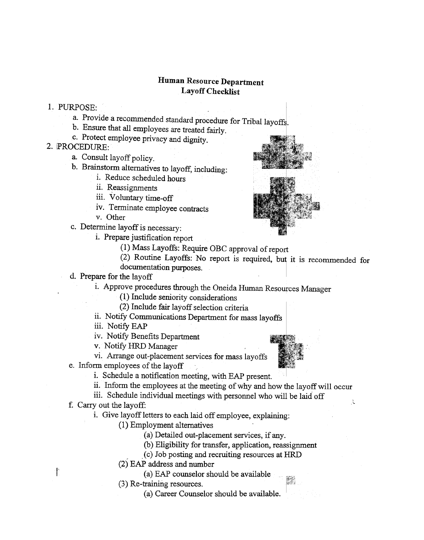# Human Resource Department Layoff Checklist

- 1. PURPOSE:
	- a. Provide a recommended standard procedure for Tribal layoffs.
	- b. Ensure that all employees are treated fairly.
	- c. Protect employee privacy and dignity.

### 2. [PROCEDURE:

- a. Consult layoff policy.
- b. Brainstorm alternatives to layoff, including:
	- i. Reduce scheduled hours
	- ii. Reassignments
	- iii. Voluntary time-off
	- iv. Terminate employee contracts
	- v. Other

c. Determine layoff is necessary:

i. Prepare justification report

(1) Mass Layoffs: Require OBC approval of report

- (2) Routine Layoffs: No report is required, but it is recommended for documentation purposes.
- d. Prepare for the layoff
	- i. Approve procedures through the Oneida Human Resources Manager
		- (1) Include semority considerations
		- (2) Include fair layoff selection criteria
	- ii. Notify Communications Department for mass layoffs
	- iii. Notify EAP
	- iv. Notify Benefits Department
	- v. Notify HRD Manager
	- vi. Arrange out-placement services for mass layoffs
- e. Inform employees of the layoff
	- i. Schedule a notification meeting, with EAP present.
	- ii. Inform the employees at the meeting of why and how the layoff will occur
- iii. Schedule individual meetings with personnel who will be laid off  $f.$  Corry out the loyoff:
- - i. Give layoff letters to each laid off employee, explaining:
		- (1) Employment alternatives
			- (a) Detailed out-placement services, if any.
			- (b) Eligibility for transfer, application, reassignment
			- (c) Job posting and recruiting resources at HRD
		- (2) EAP address and number
- **r** (a) EAP counselor should be available
	- $(3)$  Re-training resources.
		- (a) Career Counselor should be available.